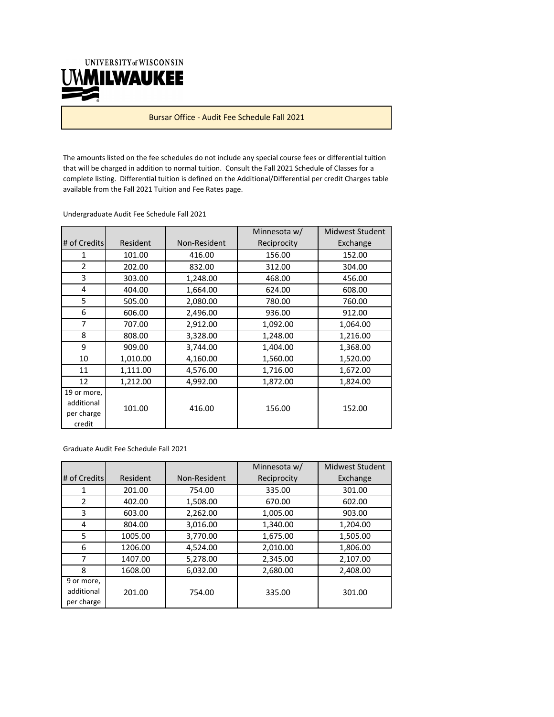UNIVERSITY of WISCONSIN **UMMILWAUKEE** 

Bursar Office ‐ Audit Fee Schedule Fall 2021

The amounts listed on the fee schedules do not include any special course fees or differential tuition that will be charged in addition to normal tuition. Consult the Fall 2021 Schedule of Classes for a complete listing. Differential tuition is defined on the Additional/Differential per credit Charges table available from the Fall 2021 Tuition and Fee Rates page.

Undergraduate Audit Fee Schedule Fall 2021

|                                                   |          |              | Minnesota w/ | Midwest Student |
|---------------------------------------------------|----------|--------------|--------------|-----------------|
| # of Credits                                      | Resident | Non-Resident | Reciprocity  | Exchange        |
| 1                                                 | 101.00   | 416.00       | 156.00       | 152.00          |
| $\overline{2}$                                    | 202.00   | 832.00       | 312.00       | 304.00          |
| 3                                                 | 303.00   | 1,248.00     | 468.00       | 456.00          |
| 4                                                 | 404.00   | 1,664.00     | 624.00       | 608.00          |
| 5                                                 | 505.00   | 2,080.00     | 780.00       | 760.00          |
| 6                                                 | 606.00   | 2,496.00     | 936.00       | 912.00          |
| $\overline{7}$                                    | 707.00   | 2,912.00     | 1,092.00     | 1,064.00        |
| 8                                                 | 808.00   | 3,328.00     | 1,248.00     | 1,216.00        |
| 9                                                 | 909.00   | 3,744.00     | 1,404.00     | 1,368.00        |
| 10                                                | 1,010.00 | 4,160.00     | 1,560.00     | 1,520.00        |
| 11                                                | 1,111.00 | 4,576.00     | 1,716.00     | 1,672.00        |
| 12                                                | 1,212.00 | 4,992.00     | 1,872.00     | 1,824.00        |
| 19 or more,<br>additional<br>per charge<br>credit | 101.00   | 416.00       | 156.00       | 152.00          |

Graduate Audit Fee Schedule Fall 2021

|                                        |          |              | Minnesota w/ | <b>Midwest Student</b> |
|----------------------------------------|----------|--------------|--------------|------------------------|
| # of Credits                           | Resident | Non-Resident | Reciprocity  | Exchange               |
| 1                                      | 201.00   | 754.00       | 335.00       | 301.00                 |
| 2                                      | 402.00   | 1.508.00     | 670.00       | 602.00                 |
| 3                                      | 603.00   | 2,262.00     | 1,005.00     | 903.00                 |
| 4                                      | 804.00   | 3,016.00     | 1,340.00     | 1,204.00               |
| 5                                      | 1005.00  | 3,770.00     | 1,675.00     | 1,505.00               |
| 6                                      | 1206.00  | 4,524.00     | 2,010.00     | 1,806.00               |
| 7                                      | 1407.00  | 5,278.00     | 2,345.00     | 2,107.00               |
| 8                                      | 1608.00  | 6.032.00     | 2,680.00     | 2,408.00               |
| 9 or more,<br>additional<br>per charge | 201.00   | 754.00       | 335.00       | 301.00                 |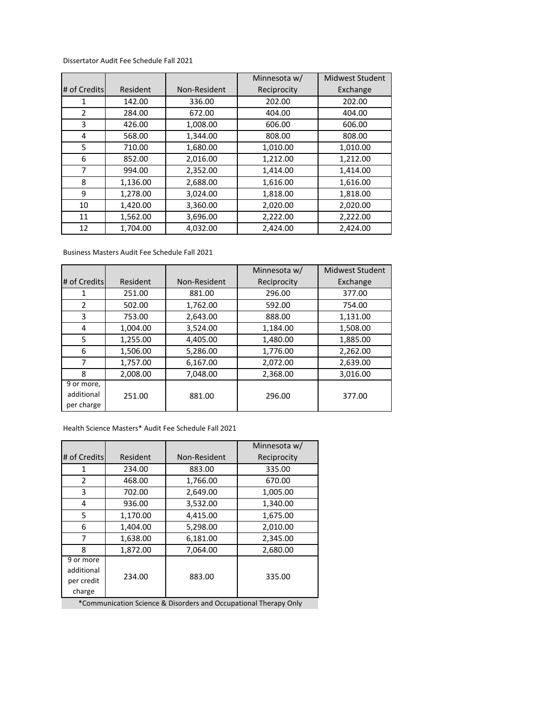## Dissertator Audit Fee Schedule Fall 2021

|                |          |              | Minnesota w/ | <b>Midwest Student</b> |
|----------------|----------|--------------|--------------|------------------------|
| # of Credits   | Resident | Non-Resident | Reciprocity  | Exchange               |
| 1              | 142.00   | 336.00       | 202.00       | 202.00                 |
| $\overline{2}$ | 284.00   | 672.00       | 404.00       | 404.00                 |
| 3              | 426.00   | 1,008.00     | 606.00       | 606.00                 |
| 4              | 568.00   | 1,344.00     | 808.00       | 808.00                 |
| 5              | 710.00   | 1,680.00     | 1,010.00     | 1,010.00               |
| 6              | 852.00   | 2,016.00     | 1,212.00     | 1,212.00               |
| 7              | 994.00   | 2,352.00     | 1,414.00     | 1,414.00               |
| 8              | 1,136.00 | 2,688.00     | 1,616.00     | 1,616.00               |
| 9              | 1,278.00 | 3,024.00     | 1,818.00     | 1,818.00               |
| 10             | 1,420.00 | 3,360.00     | 2,020.00     | 2,020.00               |
| 11             | 1,562.00 | 3,696.00     | 2,222.00     | 2,222.00               |
| 12             | 1,704.00 | 4,032.00     | 2,424.00     | 2,424.00               |

## Business Masters Audit Fee Schedule Fall 2021

|              |          |              | Minnesota w/ | Midwest Student |
|--------------|----------|--------------|--------------|-----------------|
| # of Credits | Resident | Non-Resident | Reciprocity  | Exchange        |
| 1            | 251.00   | 881.00       | 296.00       | 377.00          |
| 2            | 502.00   | 1,762.00     | 592.00       | 754.00          |
| 3            | 753.00   | 2,643.00     | 888.00       | 1,131.00        |
| 4            | 1,004.00 | 3,524.00     | 1,184.00     | 1,508.00        |
| 5            | 1,255.00 | 4.405.00     | 1,480.00     | 1,885.00        |
| 6            | 1,506.00 | 5,286.00     | 1,776.00     | 2,262.00        |
| 7            | 1,757.00 | 6,167.00     | 2,072.00     | 2,639.00        |
| 8            | 2,008.00 | 7.048.00     | 2,368.00     | 3,016.00        |
| 9 or more,   |          |              |              |                 |
| additional   | 251.00   | 881.00       | 296.00       | 377.00          |
| per charge   |          |              |              |                 |

Health Science Masters\* Audit Fee Schedule Fall 2021

|                                                 |          |              | Minnesota w/ |
|-------------------------------------------------|----------|--------------|--------------|
| # of Credits                                    | Resident | Non-Resident | Reciprocity  |
| 1                                               | 234.00   | 883.00       | 335.00       |
| $\overline{2}$                                  | 468.00   | 1,766.00     | 670.00       |
| 3                                               | 702.00   | 2,649.00     | 1,005.00     |
| 4                                               | 936.00   | 3,532.00     | 1,340.00     |
| 5                                               | 1,170.00 | 4,415.00     | 1,675.00     |
| 6                                               | 1,404.00 | 5,298.00     | 2,010.00     |
| 7                                               | 1,638.00 | 6,181.00     | 2,345.00     |
| 8                                               | 1,872.00 | 7,064.00     | 2,680.00     |
| 9 or more<br>additional<br>per credit<br>charge | 234.00   | 883.00       | 335.00       |

\*Communication Science & Disorders and Occupational Therapy Only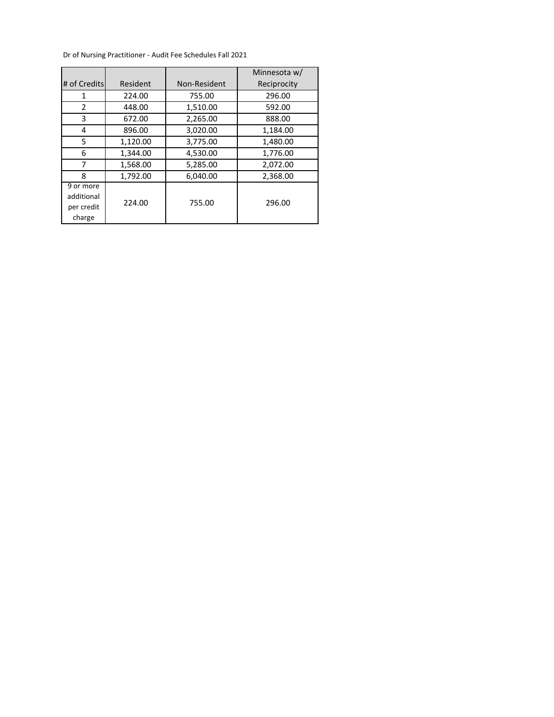Dr of Nursing Practitioner ‐ Audit Fee Schedules Fall 2021

|                                                 |          |              | Minnesota w/ |
|-------------------------------------------------|----------|--------------|--------------|
| # of Credits                                    | Resident | Non-Resident | Reciprocity  |
| 1                                               | 224.00   | 755.00       | 296.00       |
| 2                                               | 448.00   | 1,510.00     | 592.00       |
| 3                                               | 672.00   | 2,265.00     | 888.00       |
| 4                                               | 896.00   | 3,020.00     | 1,184.00     |
| 5                                               | 1,120.00 | 3,775.00     | 1,480.00     |
| 6                                               | 1,344.00 | 4,530.00     | 1,776.00     |
| 7                                               | 1,568.00 | 5,285.00     | 2,072.00     |
| 8                                               | 1.792.00 | 6.040.00     | 2,368.00     |
| 9 or more<br>additional<br>per credit<br>charge | 224.00   | 755.00       | 296.00       |